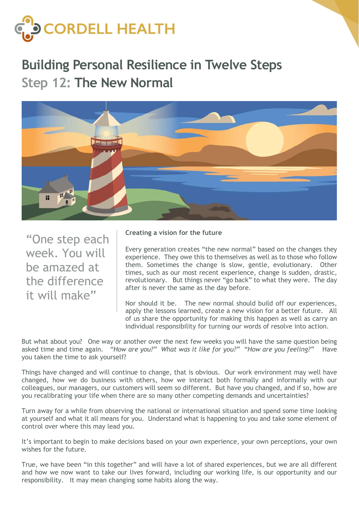

## Building Personal Resilience in Twelve Steps Step 12: The New Normal



"One step each week. You will be amazed at the difference it will make"

## Creating a vision for the future

Every generation creates "the new normal" based on the changes they experience. They owe this to themselves as well as to those who follow them. Sometimes the change is slow, gentle, evolutionary. Other times, such as our most recent experience, change is sudden, drastic, revolutionary. But things never "go back" to what they were. The day after is never the same as the day before.

Nor should it be. The new normal should build off our experiences, apply the lessons learned, create a new vision for a better future. All of us share the opportunity for making this happen as well as carry an individual responsibility for turning our words of resolve into action.

But what about you? One way or another over the next few weeks you will have the same question being asked time and time again. "How are you?" What was it like for you?" "How are you feeling?" Have you taken the time to ask yourself?

Things have changed and will continue to change, that is obvious. Our work environment may well have changed, how we do business with others, how we interact both formally and informally with our colleagues, our managers, our customers will seem so different. But have you changed, and if so, how are you recalibrating your life when there are so many other competing demands and uncertainties?

Turn away for a while from observing the national or international situation and spend some time looking at yourself and what it all means for you. Understand what is happening to you and take some element of control over where this may lead you.

It's important to begin to make decisions based on your own experience, your own perceptions, your own wishes for the future.

True, we have been "in this together" and will have a lot of shared experiences, but we are all different and how we now want to take our lives forward, including our working life, is our opportunity and our responsibility. It may mean changing some habits along the way.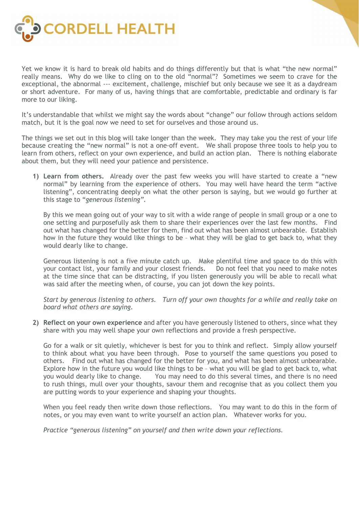

Yet we know it is hard to break old habits and do things differently but that is what "the new normal" really means. Why do we like to cling on to the old "normal"? Sometimes we seem to crave for the exceptional, the abnormal --- excitement, challenge, mischief but only because we see it as a daydream or short adventure. For many of us, having things that are comfortable, predictable and ordinary is far more to our liking.

It's understandable that whilst we might say the words about "change" our follow through actions seldom match, but it is the goal now we need to set for ourselves and those around us.

The things we set out in this blog will take longer than the week. They may take you the rest of your life because creating the "new normal" is not a one-off event. We shall propose three tools to help you to learn from others, reflect on your own experience, and build an action plan. There is nothing elaborate about them, but they will need your patience and persistence.

1) Learn from others. Already over the past few weeks you will have started to create a "new normal" by learning from the experience of others. You may well have heard the term "active listening", concentrating deeply on what the other person is saying, but we would go further at this stage to "generous listening".

By this we mean going out of your way to sit with a wide range of people in small group or a one to one setting and purposefully ask them to share their experiences over the last few months. Find out what has changed for the better for them, find out what has been almost unbearable. Establish how in the future they would like things to be – what they will be glad to get back to, what they would dearly like to change.

Generous listening is not a five minute catch up. Make plentiful time and space to do this with your contact list, your family and your closest friends. Do not feel that you need to make notes at the time since that can be distracting, if you listen generously you will be able to recall what was said after the meeting when, of course, you can jot down the key points.

Start by generous listening to others. Turn off your own thoughts for a while and really take on board what others are saying.

2) Reflect on your own experience and after you have generously listened to others, since what they share with you may well shape your own reflections and provide a fresh perspective.

Go for a walk or sit quietly, whichever is best for you to think and reflect. Simply allow yourself to think about what you have been through. Pose to yourself the same questions you posed to others. Find out what has changed for the better for you, and what has been almost unbearable. Explore how in the future you would like things to be – what you will be glad to get back to, what you would dearly like to change. You may need to do this several times, and there is no need to rush things, mull over your thoughts, savour them and recognise that as you collect them you are putting words to your experience and shaping your thoughts.

When you feel ready then write down those reflections. You may want to do this in the form of notes, or you may even want to write yourself an action plan. Whatever works for you.

Practice "generous listening" on yourself and then write down your reflections.